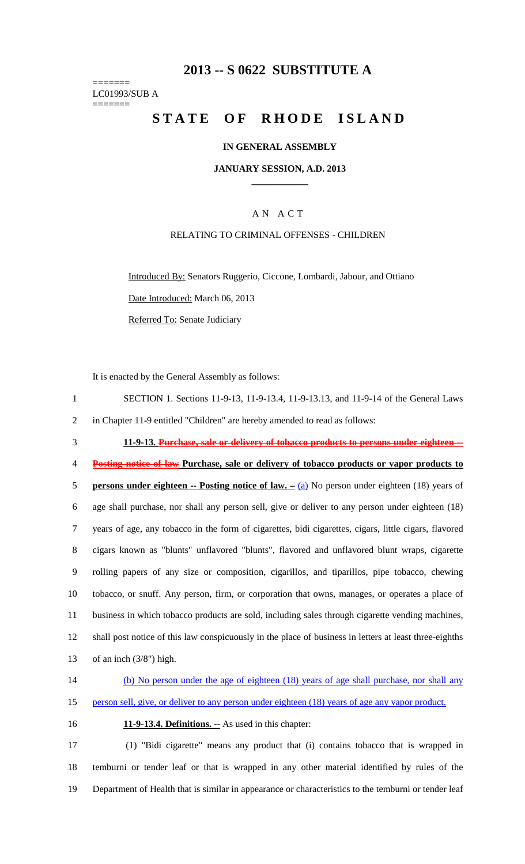# **2013 -- S 0622 SUBSTITUTE A**

======= LC01993/SUB A =======

# **STATE OF RHODE ISLAND**

#### **IN GENERAL ASSEMBLY**

#### **JANUARY SESSION, A.D. 2013 \_\_\_\_\_\_\_\_\_\_\_\_**

## A N A C T

## RELATING TO CRIMINAL OFFENSES - CHILDREN

Introduced By: Senators Ruggerio, Ciccone, Lombardi, Jabour, and Ottiano Date Introduced: March 06, 2013

Referred To: Senate Judiciary

It is enacted by the General Assembly as follows:

| SECTION 1. Sections 11-9-13, 11-9-13.4, 11-9-13.13, and 11-9-14 of the General Laws |
|-------------------------------------------------------------------------------------|
| in Chapter 11-9 entitled "Children" are hereby amended to read as follows:          |

3 **11-9-13. Purchase, sale or delivery of tobacco products to persons under eighteen --**

4 **Posting notice of law Purchase, sale or delivery of tobacco products or vapor products to** 

5 **persons under eighteen -- Posting notice of law. –** (a) No person under eighteen (18) years of 6 age shall purchase, nor shall any person sell, give or deliver to any person under eighteen (18) 7 years of age, any tobacco in the form of cigarettes, bidi cigarettes, cigars, little cigars, flavored 8 cigars known as "blunts" unflavored "blunts", flavored and unflavored blunt wraps, cigarette 9 rolling papers of any size or composition, cigarillos, and tiparillos, pipe tobacco, chewing 10 tobacco, or snuff. Any person, firm, or corporation that owns, manages, or operates a place of 11 business in which tobacco products are sold, including sales through cigarette vending machines, 12 shall post notice of this law conspicuously in the place of business in letters at least three-eighths 13 of an inch (3/8") high.

- 14 (b) No person under the age of eighteen (18) years of age shall purchase, nor shall any 15 person sell, give, or deliver to any person under eighteen (18) years of age any vapor product.
- 

16 **11-9-13.4. Definitions. --** As used in this chapter:

17 (1) "Bidi cigarette" means any product that (i) contains tobacco that is wrapped in 18 temburni or tender leaf or that is wrapped in any other material identified by rules of the 19 Department of Health that is similar in appearance or characteristics to the temburni or tender leaf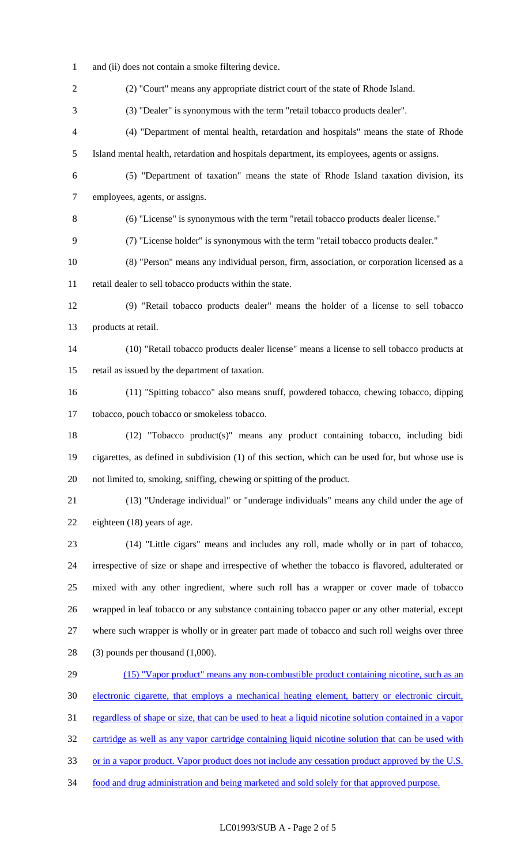1 and (ii) does not contain a smoke filtering device. 2 (2) "Court" means any appropriate district court of the state of Rhode Island. 3 (3) "Dealer" is synonymous with the term "retail tobacco products dealer". 4 (4) "Department of mental health, retardation and hospitals" means the state of Rhode 5 Island mental health, retardation and hospitals department, its employees, agents or assigns. 6 (5) "Department of taxation" means the state of Rhode Island taxation division, its 7 employees, agents, or assigns. 8 (6) "License" is synonymous with the term "retail tobacco products dealer license." 9 (7) "License holder" is synonymous with the term "retail tobacco products dealer." 10 (8) "Person" means any individual person, firm, association, or corporation licensed as a 11 retail dealer to sell tobacco products within the state. 12 (9) "Retail tobacco products dealer" means the holder of a license to sell tobacco 13 products at retail. 14 (10) "Retail tobacco products dealer license" means a license to sell tobacco products at 15 retail as issued by the department of taxation. 16 (11) "Spitting tobacco" also means snuff, powdered tobacco, chewing tobacco, dipping 17 tobacco, pouch tobacco or smokeless tobacco. 18 (12) "Tobacco product(s)" means any product containing tobacco, including bidi 19 cigarettes, as defined in subdivision (1) of this section, which can be used for, but whose use is 20 not limited to, smoking, sniffing, chewing or spitting of the product. 21 (13) "Underage individual" or "underage individuals" means any child under the age of 22 eighteen (18) years of age. 23 (14) "Little cigars" means and includes any roll, made wholly or in part of tobacco, 24 irrespective of size or shape and irrespective of whether the tobacco is flavored, adulterated or 25 mixed with any other ingredient, where such roll has a wrapper or cover made of tobacco 26 wrapped in leaf tobacco or any substance containing tobacco paper or any other material, except 27 where such wrapper is wholly or in greater part made of tobacco and such roll weighs over three 28 (3) pounds per thousand (1,000). 29 (15) "Vapor product" means any non-combustible product containing nicotine, such as an 30 electronic cigarette, that employs a mechanical heating element, battery or electronic circuit, 31 regardless of shape or size, that can be used to heat a liquid nicotine solution contained in a vapor 32 cartridge as well as any vapor cartridge containing liquid nicotine solution that can be used with 33 or in a vapor product. Vapor product does not include any cessation product approved by the U.S.

34 food and drug administration and being marketed and sold solely for that approved purpose.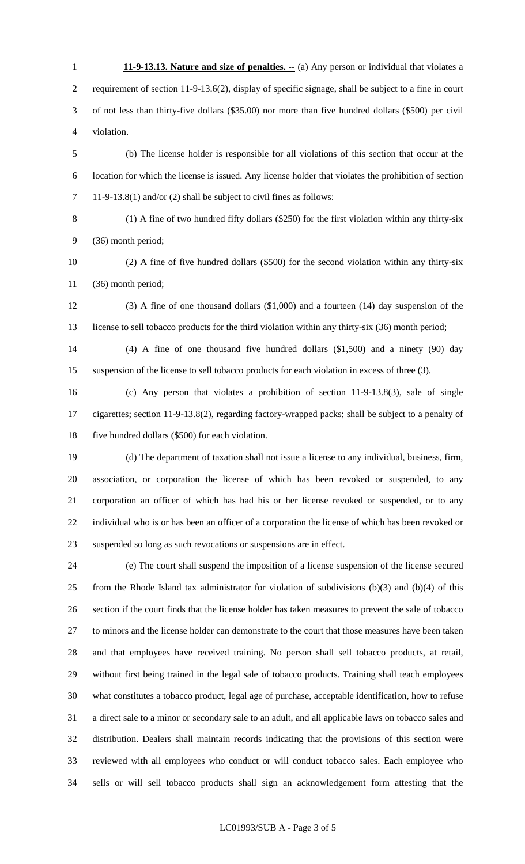1 **11-9-13.13. Nature and size of penalties.** -- (a) Any person or individual that violates a 2 requirement of section 11-9-13.6(2), display of specific signage, shall be subject to a fine in court 3 of not less than thirty-five dollars (\$35.00) nor more than five hundred dollars (\$500) per civil 4 violation.

5 (b) The license holder is responsible for all violations of this section that occur at the 6 location for which the license is issued. Any license holder that violates the prohibition of section 7 11-9-13.8(1) and/or (2) shall be subject to civil fines as follows:

8 (1) A fine of two hundred fifty dollars (\$250) for the first violation within any thirty-six 9 (36) month period;

- 10 (2) A fine of five hundred dollars (\$500) for the second violation within any thirty-six 11 (36) month period;
- 12 (3) A fine of one thousand dollars (\$1,000) and a fourteen (14) day suspension of the 13 license to sell tobacco products for the third violation within any thirty-six (36) month period;

14 (4) A fine of one thousand five hundred dollars (\$1,500) and a ninety (90) day 15 suspension of the license to sell tobacco products for each violation in excess of three (3).

16 (c) Any person that violates a prohibition of section 11-9-13.8(3), sale of single 17 cigarettes; section 11-9-13.8(2), regarding factory-wrapped packs; shall be subject to a penalty of 18 five hundred dollars (\$500) for each violation.

19 (d) The department of taxation shall not issue a license to any individual, business, firm, 20 association, or corporation the license of which has been revoked or suspended, to any 21 corporation an officer of which has had his or her license revoked or suspended, or to any 22 individual who is or has been an officer of a corporation the license of which has been revoked or 23 suspended so long as such revocations or suspensions are in effect.

24 (e) The court shall suspend the imposition of a license suspension of the license secured 25 from the Rhode Island tax administrator for violation of subdivisions (b)(3) and (b)(4) of this 26 section if the court finds that the license holder has taken measures to prevent the sale of tobacco 27 to minors and the license holder can demonstrate to the court that those measures have been taken 28 and that employees have received training. No person shall sell tobacco products, at retail, 29 without first being trained in the legal sale of tobacco products. Training shall teach employees 30 what constitutes a tobacco product, legal age of purchase, acceptable identification, how to refuse 31 a direct sale to a minor or secondary sale to an adult, and all applicable laws on tobacco sales and 32 distribution. Dealers shall maintain records indicating that the provisions of this section were 33 reviewed with all employees who conduct or will conduct tobacco sales. Each employee who 34 sells or will sell tobacco products shall sign an acknowledgement form attesting that the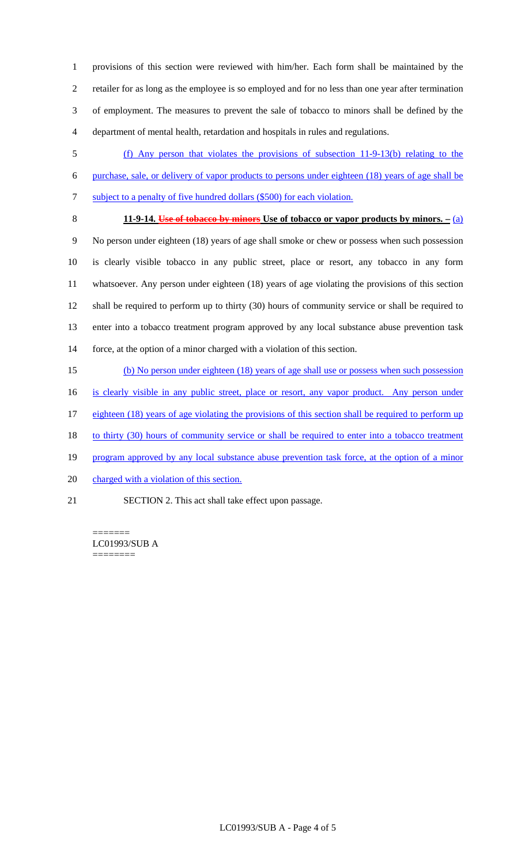1 provisions of this section were reviewed with him/her. Each form shall be maintained by the 2 retailer for as long as the employee is so employed and for no less than one year after termination 3 of employment. The measures to prevent the sale of tobacco to minors shall be defined by the 4 department of mental health, retardation and hospitals in rules and regulations.

- 5 (f) Any person that violates the provisions of subsection 11-9-13(b) relating to the 6 purchase, sale, or delivery of vapor products to persons under eighteen (18) years of age shall be 7 subject to a penalty of five hundred dollars (\$500) for each violation.
- 

### 8 **11-9-14. Use of tobacco by minors Use of tobacco or vapor products by minors. –** (a)

9 No person under eighteen (18) years of age shall smoke or chew or possess when such possession 10 is clearly visible tobacco in any public street, place or resort, any tobacco in any form 11 whatsoever. Any person under eighteen (18) years of age violating the provisions of this section 12 shall be required to perform up to thirty (30) hours of community service or shall be required to 13 enter into a tobacco treatment program approved by any local substance abuse prevention task 14 force, at the option of a minor charged with a violation of this section.

15 (b) No person under eighteen (18) years of age shall use or possess when such possession

16 is clearly visible in any public street, place or resort, any vapor product. Any person under

- 17 eighteen (18) years of age violating the provisions of this section shall be required to perform up
- 18 to thirty (30) hours of community service or shall be required to enter into a tobacco treatment
- 19 program approved by any local substance abuse prevention task force, at the option of a minor
- 20 charged with a violation of this section.
- 21 SECTION 2. This act shall take effect upon passage.

======= LC01993/SUB A ========